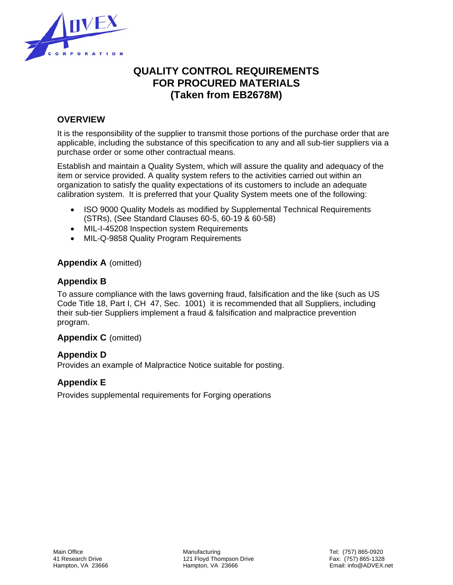

# **QUALITY CONTROL REQUIREMENTS FOR PROCURED MATERIALS (Taken from EB2678M)**

# **OVERVIEW**

It is the responsibility of the supplier to transmit those portions of the purchase order that are applicable, including the substance of this specification to any and all sub-tier suppliers via a purchase order or some other contractual means.

Establish and maintain a Quality System, which will assure the quality and adequacy of the item or service provided. A quality system refers to the activities carried out within an organization to satisfy the quality expectations of its customers to include an adequate calibration system. It is preferred that your Quality System meets one of the following:

- ISO 9000 Quality Models as modified by Supplemental Technical Requirements (STRs), (See Standard Clauses 60-5, 60-19 & 60-58)
- MIL-I-45208 Inspection system Requirements
- MIL-Q-9858 Quality Program Requirements

# **Appendix A** (omitted)

# **Appendix B**

To assure compliance with the laws governing fraud, falsification and the like (such as US Code Title 18, Part I, CH 47, Sec. 1001) it is recommended that all Suppliers, including their sub-tier Suppliers implement a fraud & falsification and malpractice prevention program.

# **Appendix C** (omitted)

# **Appendix D**

Provides an example of Malpractice Notice suitable for posting.

# **Appendix E**

Provides supplemental requirements for Forging operations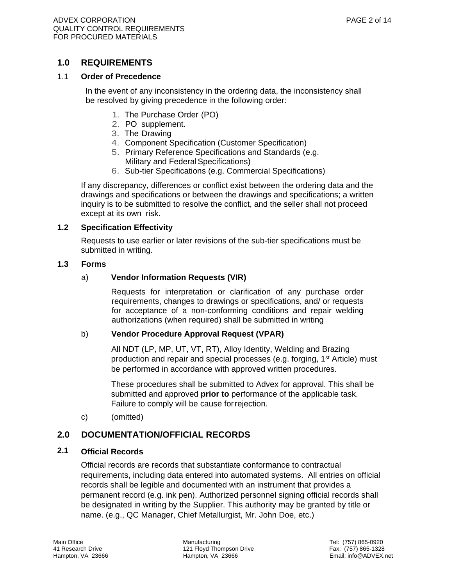# **1.0 REQUIREMENTS**

#### 1.1 **Order of Precedence**

In the event of any inconsistency in the ordering data, the inconsistency shall be resolved by giving precedence in the following order:

- 1. The Purchase Order (PO)
- 2. PO supplement.
- 3. The Drawing
- 4. Component Specification (Customer Specification)
- 5. Primary Reference Specifications and Standards (e.g. Military and Federal Specifications)
- 6. Sub-tier Specifications (e.g. Commercial Specifications)

If any discrepancy, differences or conflict exist between the ordering data and the drawings and specifications or between the drawings and specifications; a written inquiry is to be submitted to resolve the conflict, and the seller shall not proceed except at its own risk.

#### **1.2 Specification Effectivity**

 Requests to use earlier or later revisions of the sub-tier specifications must be submitted in writing.

#### **1.3 Forms**

#### a) **Vendor Information Requests (VIR)**

Requests for interpretation or clarification of any purchase order requirements, changes to drawings or specifications, and/ or requests for acceptance of a non-conforming conditions and repair welding authorizations (when required) shall be submitted in writing

#### b) **Vendor Procedure Approval Request (VPAR)**

All NDT (LP, MP, UT, VT, RT), Alloy Identity, Welding and Brazing production and repair and special processes (e.g. forging, 1<sup>st</sup> Article) must be performed in accordance with approved written procedures.

These procedures shall be submitted to Advex for approval. This shall be submitted and approved **prior to** performance of the applicable task. Failure to comply will be cause for rejection.

c) (omitted)

# **2.0 DOCUMENTATION/OFFICIAL RECORDS**

# **2.1 Official Records**

Official records are records that substantiate conformance to contractual requirements, including data entered into automated systems. All entries on official records shall be legible and documented with an instrument that provides a permanent record (e.g. ink pen). Authorized personnel signing official records shall be designated in writing by the Supplier. This authority may be granted by title or name. (e.g., QC Manager, Chief Metallurgist, Mr. John Doe, etc.)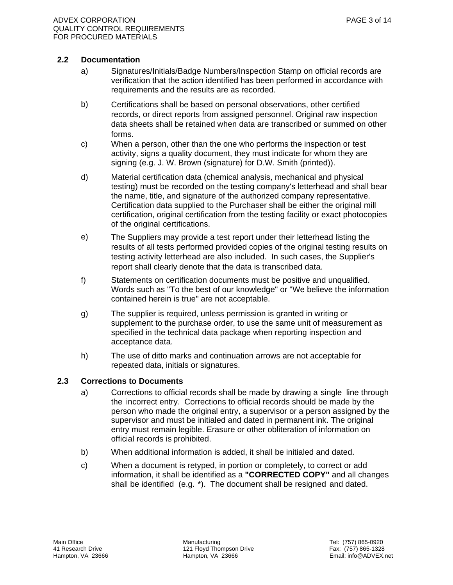- a) Signatures/Initials/Badge Numbers/Inspection Stamp on official records are verification that the action identified has been performed in accordance with requirements and the results are as recorded.
- b) Certifications shall be based on personal observations, other certified records, or direct reports from assigned personnel. Original raw inspection data sheets shall be retained when data are transcribed or summed on other forms.
- c) When a person, other than the one who performs the inspection or test activity, signs a quality document, they must indicate for whom they are signing (e.g. J. W. Brown (signature) for D.W. Smith (printed)).
- d) Material certification data (chemical analysis, mechanical and physical testing) must be recorded on the testing company's letterhead and shall bear the name, title, and signature of the authorized company representative. Certification data supplied to the Purchaser shall be either the original mill certification, original certification from the testing facility or exact photocopies of the original certifications.
- e) The Suppliers may provide a test report under their letterhead listing the results of all tests performed provided copies of the original testing results on testing activity letterhead are also included. In such cases, the Supplier's report shall clearly denote that the data is transcribed data.
- f) Statements on certification documents must be positive and unqualified. Words such as "To the best of our knowledge" or "We believe the information contained herein is true" are not acceptable.
- g) The supplier is required, unless permission is granted in writing or supplement to the purchase order, to use the same unit of measurement as specified in the technical data package when reporting inspection and acceptance data.
- h) The use of ditto marks and continuation arrows are not acceptable for repeated data, initials or signatures.

#### **2.3 Corrections to Documents**

- a) Corrections to official records shall be made by drawing a single line through the incorrect entry. Corrections to official records should be made by the person who made the original entry, a supervisor or a person assigned by the supervisor and must be initialed and dated in permanent ink. The original entry must remain legible. Erasure or other obliteration of information on official records is prohibited.
- b) When additional information is added, it shall be initialed and dated.
- c) When a document is retyped, in portion or completely, to correct or add information, it shall be identified as a **"CORRECTED COPY"** and all changes shall be identified (e.g. \*). The document shall be resigned and dated.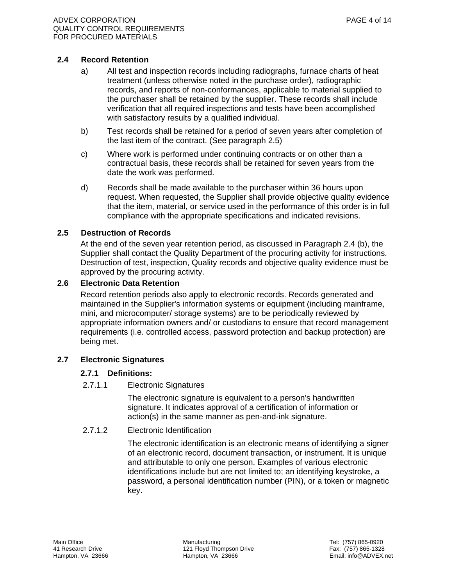#### **2.4 Record Retention**

- a) All test and inspection records including radiographs, furnace charts of heat treatment (unless otherwise noted in the purchase order), radiographic records, and reports of non-conformances, applicable to material supplied to the purchaser shall be retained by the supplier. These records shall include verification that all required inspections and tests have been accomplished with satisfactory results by a qualified individual.
- b) Test records shall be retained for a period of seven years after completion of the last item of the contract. (See paragraph 2.5)
- c) Where work is performed under continuing contracts or on other than a contractual basis, these records shall be retained for seven years from the date the work was performed.
- d) Records shall be made available to the purchaser within 36 hours upon request. When requested, the Supplier shall provide objective quality evidence that the item, material, or service used in the performance of this order is in full compliance with the appropriate specifications and indicated revisions.

#### **2.5 Destruction of Records**

At the end of the seven year retention period, as discussed in Paragraph 2.4 (b), the Supplier shall contact the Quality Department of the procuring activity for instructions. Destruction of test, inspection, Quality records and objective quality evidence must be approved by the procuring activity.

#### **2.6 Electronic Data Retention**

 Record retention periods also apply to electronic records. Records generated and maintained in the Supplier's information systems or equipment (including mainframe, mini, and microcomputer/ storage systems) are to be periodically reviewed by appropriate information owners and/ or custodians to ensure that record management requirements (i.e. controlled access, password protection and backup protection) are being met.

#### **2.7 Electronic Signatures**

#### **2.7.1 Definitions:**

2.7.1.1 Electronic Signatures

 The electronic signature is equivalent to a person's handwritten signature. It indicates approval of a certification of information or action(s) in the same manner as pen-and-ink signature.

#### 2.7.1.2 Electronic Identification

 The electronic identification is an electronic means of identifying a signer of an electronic record, document transaction, or instrument. It is unique and attributable to only one person. Examples of various electronic identifications include but are not limited to; an identifying keystroke, a password, a personal identification number (PIN), or a token or magnetic key.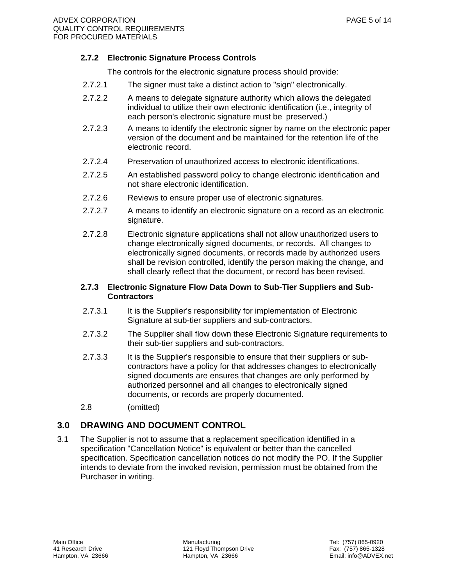### **2.7.2 Electronic Signature Process Controls**

The controls for the electronic signature process should provide:

- 2.7.2.1 The signer must take a distinct action to "sign" electronically.
- 2.7.2.2 A means to delegate signature authority which allows the delegated individual to utilize their own electronic identification (i.e., integrity of each person's electronic signature must be preserved.)
- 2.7.2.3 A means to identify the electronic signer by name on the electronic paper version of the document and be maintained for the retention life of the electronic record.
- 2.7.2.4 Preservation of unauthorized access to electronic identifications.
- 2.7.2.5 An established password policy to change electronic identification and not share electronic identification.
- 2.7.2.6 Reviews to ensure proper use of electronic signatures.
- 2.7.2.7 A means to identify an electronic signature on a record as an electronic signature.
- 2.7.2.8 Electronic signature applications shall not allow unauthorized users to change electronically signed documents, or records. All changes to electronically signed documents, or records made by authorized users shall be revision controlled, identify the person making the change, and shall clearly reflect that the document, or record has been revised.

#### **2.7.3 Electronic Signature Flow Data Down to Sub-Tier Suppliers and Sub-Contractors**

- 2.7.3.1 It is the Supplier's responsibility for implementation of Electronic Signature at sub-tier suppliers and sub-contractors.
- 2.7.3.2 The Supplier shall flow down these Electronic Signature requirements to their sub-tier suppliers and sub-contractors.
- 2.7.3.3 It is the Supplier's responsible to ensure that their suppliers or subcontractors have a policy for that addresses changes to electronically signed documents are ensures that changes are only performed by authorized personnel and all changes to electronically signed documents, or records are properly documented.
- 2.8 (omitted)

# **3.0 DRAWING AND DOCUMENT CONTROL**

3.1 The Supplier is not to assume that a replacement specification identified in a specification "Cancellation Notice" is equivalent or better than the cancelled specification. Specification cancellation notices do not modify the PO. If the Supplier intends to deviate from the invoked revision, permission must be obtained from the Purchaser in writing.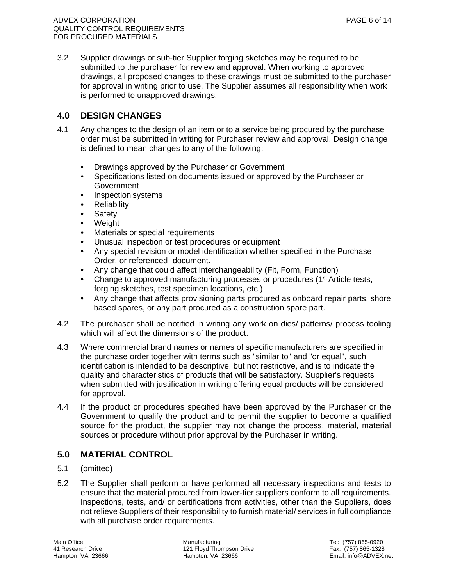3.2 Supplier drawings or sub-tier Supplier forging sketches may be required to be submitted to the purchaser for review and approval. When working to approved drawings, all proposed changes to these drawings must be submitted to the purchaser for approval in writing prior to use. The Supplier assumes all responsibility when work is performed to unapproved drawings.

# **4.0 DESIGN CHANGES**

- 4.1 Any changes to the design of an item or to a service being procured by the purchase order must be submitted in writing for Purchaser review and approval. Design change is defined to mean changes to any of the following:
	- Drawings approved by the Purchaser or Government
	- Specifications listed on documents issued or approved by the Purchaser or Government
	- Inspection systems
	- Reliability
	- Safety
	- Weight
	- Materials or special requirements
	- Unusual inspection or test procedures or equipment
	- Any special revision or model identification whether specified in the Purchase Order, or referenced document.
	- Any change that could affect interchangeability (Fit, Form, Function)
	- Change to approved manufacturing processes or procedures (1<sup>st</sup> Article tests, forging sketches, test specimen locations, etc.)
	- Any change that affects provisioning parts procured as onboard repair parts, shore based spares, or any part procured as a construction spare part.
- 4.2 The purchaser shall be notified in writing any work on dies/ patterns/ process tooling which will affect the dimensions of the product.
- 4.3 Where commercial brand names or names of specific manufacturers are specified in the purchase order together with terms such as "similar to" and "or equal", such identification is intended to be descriptive, but not restrictive, and is to indicate the quality and characteristics of products that will be satisfactory. Supplier's requests when submitted with justification in writing offering equal products will be considered for approval.
- 4.4 If the product or procedures specified have been approved by the Purchaser or the Government to qualify the product and to permit the supplier to become a qualified source for the product, the supplier may not change the process, material, material sources or procedure without prior approval by the Purchaser in writing.

# **5.0 MATERIAL CONTROL**

- 5.1 (omitted)
- 5.2 The Supplier shall perform or have performed all necessary inspections and tests to ensure that the material procured from lower-tier suppliers conform to all requirements. Inspections, tests, and/ or certifications from activities, other than the Suppliers, does not relieve Suppliers of their responsibility to furnish material/ services in full compliance with all purchase order requirements.

Main Office **Tel: (757) 865-0920**<br>
41 Research Drive **Manufacturing 121 Floyd Thompson Drive Tel: (757) 865-1328**<br>
565-1328 41 Research Drive 121 Floyd Thompson Drive<br>
Hampton, VA 23666<br>
Hampton, VA 23666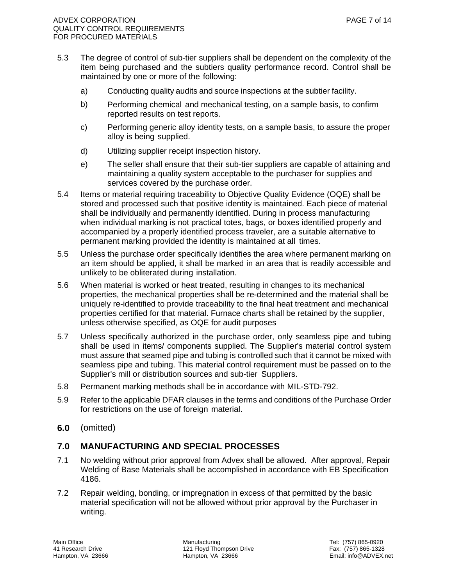- 5.3 The degree of control of sub-tier suppliers shall be dependent on the complexity of the item being purchased and the subtiers quality performance record. Control shall be maintained by one or more of the following:
	- a) Conducting quality audits and source inspections at the subtier facility.
	- b) Performing chemical and mechanical testing, on a sample basis, to confirm reported results on test reports.
	- c) Performing generic alloy identity tests, on a sample basis, to assure the proper alloy is being supplied.
	- d) Utilizing supplier receipt inspection history.
	- e) The seller shall ensure that their sub-tier suppliers are capable of attaining and maintaining a quality system acceptable to the purchaser for supplies and services covered by the purchase order.
- 5.4 Items or material requiring traceability to Objective Quality Evidence (OQE) shall be stored and processed such that positive identity is maintained. Each piece of material shall be individually and permanently identified. During in process manufacturing when individual marking is not practical totes, bags, or boxes identified properly and accompanied by a properly identified process traveler, are a suitable alternative to permanent marking provided the identity is maintained at all times.
- 5.5 Unless the purchase order specifically identifies the area where permanent marking on an item should be applied, it shall be marked in an area that is readily accessible and unlikely to be obliterated during installation.
- 5.6 When material is worked or heat treated, resulting in changes to its mechanical properties, the mechanical properties shall be re-determined and the material shall be uniquely re-identified to provide traceability to the final heat treatment and mechanical properties certified for that material. Furnace charts shall be retained by the supplier, unless otherwise specified, as OQE for audit purposes
- 5.7 Unless specifically authorized in the purchase order, only seamless pipe and tubing shall be used in items/ components supplied. The Supplier's material control system must assure that seamed pipe and tubing is controlled such that it cannot be mixed with seamless pipe and tubing. This material control requirement must be passed on to the Supplier's mill or distribution sources and sub-tier Suppliers.
- 5.8 Permanent marking methods shall be in accordance with MIL-STD-792.
- 5.9 Refer to the applicable DFAR clauses in the terms and conditions of the Purchase Order for restrictions on the use of foreign material.
- **6.0** (omitted)

# **7.0 MANUFACTURING AND SPECIAL PROCESSES**

- 7.1 No welding without prior approval from Advex shall be allowed. After approval, Repair Welding of Base Materials shall be accomplished in accordance with EB Specification 4186.
- 7.2 Repair welding, bonding, or impregnation in excess of that permitted by the basic material specification will not be allowed without prior approval by the Purchaser in writing.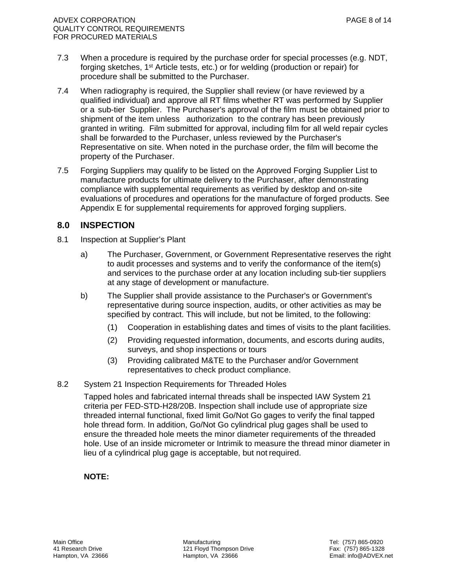- 7.3 When a procedure is required by the purchase order for special processes (e.g. NDT, forging sketches, 1st Article tests, etc.) or for welding (production or repair) for procedure shall be submitted to the Purchaser.
- 7.4 When radiography is required, the Supplier shall review (or have reviewed by a qualified individual) and approve all RT films whether RT was performed by Supplier or a sub-tier Supplier. The Purchaser's approval of the film must be obtained prior to shipment of the item unless authorization to the contrary has been previously granted in writing. Film submitted for approval, including film for all weld repair cycles shall be forwarded to the Purchaser, unless reviewed by the Purchaser's Representative on site. When noted in the purchase order, the film will become the property of the Purchaser.
- 7.5 Forging Suppliers may qualify to be listed on the Approved Forging Supplier List to manufacture products for ultimate delivery to the Purchaser, after demonstrating compliance with supplemental requirements as verified by desktop and on-site evaluations of procedures and operations for the manufacture of forged products. See Appendix E for supplemental requirements for approved forging suppliers.

# **8.0 INSPECTION**

- 8.1 Inspection at Supplier's Plant
	- a) The Purchaser, Government, or Government Representative reserves the right to audit processes and systems and to verify the conformance of the item(s) and services to the purchase order at any location including sub-tier suppliers at any stage of development or manufacture.
	- b) The Supplier shall provide assistance to the Purchaser's or Government's representative during source inspection, audits, or other activities as may be specified by contract. This will include, but not be limited, to the following:
		- (1) Cooperation in establishing dates and times of visits to the plant facilities.
		- (2) Providing requested information, documents, and escorts during audits, surveys, and shop inspections or tours
		- (3) Providing calibrated M&TE to the Purchaser and/or Government representatives to check product compliance.
- 8.2 System 21 Inspection Requirements for Threaded Holes

 Tapped holes and fabricated internal threads shall be inspected IAW System 21 criteria per FED-STD-H28/20B. Inspection shall include use of appropriate size threaded internal functional, fixed limit Go/Not Go gages to verify the final tapped hole thread form. In addition, Go/Not Go cylindrical plug gages shall be used to ensure the threaded hole meets the minor diameter requirements of the threaded hole. Use of an inside micrometer or Intrimik to measure the thread minor diameter in lieu of a cylindrical plug gage is acceptable, but not required.

#### **NOTE:**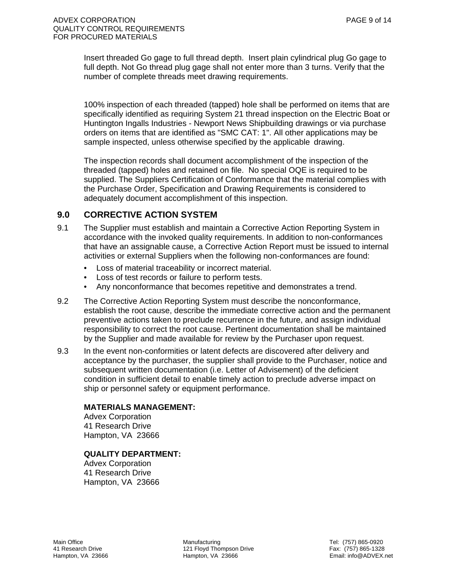Insert threaded Go gage to full thread depth. Insert plain cylindrical plug Go gage to full depth. Not Go thread plug gage shall not enter more than 3 turns. Verify that the number of complete threads meet drawing requirements.

100% inspection of each threaded (tapped) hole shall be performed on items that are specifically identified as requiring System 21 thread inspection on the Electric Boat or Huntington Ingalls Industries - Newport News Shipbuilding drawings or via purchase orders on items that are identified as "SMC CAT: 1". All other applications may be sample inspected, unless otherwise specified by the applicable drawing.

The inspection records shall document accomplishment of the inspection of the threaded (tapped) holes and retained on file. No special OQE is required to be supplied. The Suppliers Certification of Conformance that the material complies with the Purchase Order, Specification and Drawing Requirements is considered to adequately document accomplishment of this inspection.

### **9.0 CORRECTIVE ACTION SYSTEM**

- 9.1 The Supplier must establish and maintain a Corrective Action Reporting System in accordance with the invoked quality requirements. In addition to non-conformances that have an assignable cause, a Corrective Action Report must be issued to internal activities or external Suppliers when the following non-conformances are found:
	- Loss of material traceability or incorrect material.
	- Loss of test records or failure to perform tests.
	- Any nonconformance that becomes repetitive and demonstrates a trend.
- 9.2 The Corrective Action Reporting System must describe the nonconformance, establish the root cause, describe the immediate corrective action and the permanent preventive actions taken to preclude recurrence in the future, and assign individual responsibility to correct the root cause. Pertinent documentation shall be maintained by the Supplier and made available for review by the Purchaser upon request.
- 9.3 In the event non-conformities or latent defects are discovered after delivery and acceptance by the purchaser, the supplier shall provide to the Purchaser, notice and subsequent written documentation (i.e. Letter of Advisement) of the deficient condition in sufficient detail to enable timely action to preclude adverse impact on ship or personnel safety or equipment performance.

#### **MATERIALS MANAGEMENT:**

Advex Corporation 41 Research Drive Hampton, VA 23666

#### **QUALITY DEPARTMENT:**

Advex Corporation 41 Research Drive Hampton, VA 23666

Main Office Manufacturing Tel: (757) 865-0920 41 Research Drive 121 Floyd Thompson Drive 121 Floyd Thompson Drive 121 Research Drive Fax: (757) 865-1328<br>Hampton, VA 23666 Hampton, VA 23666 Hampton, VA 23666 Hampton, VA 23666 Hampton, VA 23666 Hampton, VA 23666 H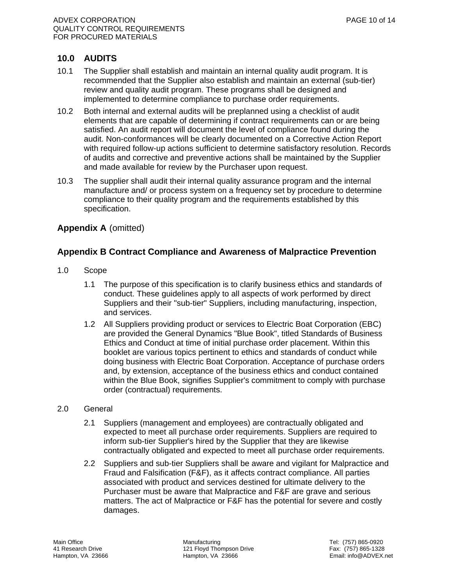# **10.0 AUDITS**

- 10.1 The Supplier shall establish and maintain an internal quality audit program. It is recommended that the Supplier also establish and maintain an external (sub-tier) review and quality audit program. These programs shall be designed and implemented to determine compliance to purchase order requirements.
- 10.2 Both internal and external audits will be preplanned using a checklist of audit elements that are capable of determining if contract requirements can or are being satisfied. An audit report will document the level of compliance found during the audit. Non-conformances will be clearly documented on a Corrective Action Report with required follow-up actions sufficient to determine satisfactory resolution. Records of audits and corrective and preventive actions shall be maintained by the Supplier and made available for review by the Purchaser upon request.
- 10.3 The supplier shall audit their internal quality assurance program and the internal manufacture and/ or process system on a frequency set by procedure to determine compliance to their quality program and the requirements established by this specification.

# **Appendix A** (omitted)

# **Appendix B Contract Compliance and Awareness of Malpractice Prevention**

- 1.0 Scope
	- 1.1 The purpose of this specification is to clarify business ethics and standards of conduct. These guidelines apply to all aspects of work performed by direct Suppliers and their "sub-tier" Suppliers, including manufacturing, inspection, and services.
	- 1.2 All Suppliers providing product or services to Electric Boat Corporation (EBC) are provided the General Dynamics "Blue Book", titled Standards of Business Ethics and Conduct at time of initial purchase order placement. Within this booklet are various topics pertinent to ethics and standards of conduct while doing business with Electric Boat Corporation. Acceptance of purchase orders and, by extension, acceptance of the business ethics and conduct contained within the Blue Book, signifies Supplier's commitment to comply with purchase order (contractual) requirements.

#### 2.0 General

- 2.1 Suppliers (management and employees) are contractually obligated and expected to meet all purchase order requirements. Suppliers are required to inform sub-tier Supplier's hired by the Supplier that they are likewise contractually obligated and expected to meet all purchase order requirements.
- 2.2 Suppliers and sub-tier Suppliers shall be aware and vigilant for Malpractice and Fraud and Falsification (F&F), as it affects contract compliance. All parties associated with product and services destined for ultimate delivery to the Purchaser must be aware that Malpractice and F&F are grave and serious matters. The act of Malpractice or F&F has the potential for severe and costly damages.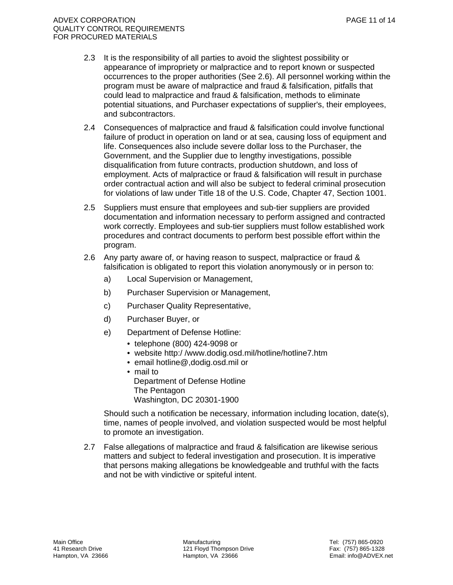- 2.3 It is the responsibility of all parties to avoid the slightest possibility or appearance of impropriety or malpractice and to report known or suspected occurrences to the proper authorities (See 2.6). All personnel working within the program must be aware of malpractice and fraud & falsification, pitfalls that could lead to malpractice and fraud & falsification, methods to eliminate potential situations, and Purchaser expectations of supplier's, their employees, and subcontractors.
- 2.4 Consequences of malpractice and fraud & falsification could involve functional failure of product in operation on land or at sea, causing loss of equipment and life. Consequences also include severe dollar loss to the Purchaser, the Government, and the Supplier due to lengthy investigations, possible disqualification from future contracts, production shutdown, and loss of employment. Acts of malpractice or fraud & falsification will result in purchase order contractual action and will also be subject to federal criminal prosecution for violations of law under Title 18 of the U.S. Code, Chapter 47, Section 1001.
- 2.5 Suppliers must ensure that employees and sub-tier suppliers are provided documentation and information necessary to perform assigned and contracted work correctly. Employees and sub-tier suppliers must follow established work procedures and contract documents to perform best possible effort within the program.
- 2.6 Any party aware of, or having reason to suspect, malpractice or fraud & falsification is obligated to report this violation anonymously or in person to:
	- a) Local Supervision or Management,
	- b) Purchaser Supervision or Management,
	- c) Purchaser Quality Representative,
	- d) Purchaser Buyer, or
	- e) Department of Defense Hotline:
		- telephone (800) 424-9098 or
		- website http:/ /www.dodig.osd.mil/hotline/hotline7.htm
		- email hotline@,dodig.osd.mil or
		- mail to Department of Defense Hotline The Pentagon Washington, DC 20301-1900

 Should such a notification be necessary, information including location, date(s), time, names of people involved, and violation suspected would be most helpful to promote an investigation.

2.7 False allegations of malpractice and fraud & falsification are likewise serious matters and subject to federal investigation and prosecution. It is imperative that persons making allegations be knowledgeable and truthful with the facts and not be with vindictive or spiteful intent.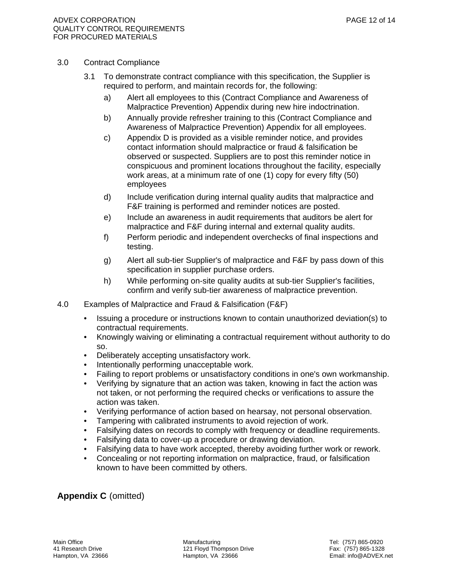#### 3.0 Contract Compliance

- 3.1 To demonstrate contract compliance with this specification, the Supplier is required to perform, and maintain records for, the following:
	- a) Alert all employees to this (Contract Compliance and Awareness of Malpractice Prevention) Appendix during new hire indoctrination.
	- b) Annually provide refresher training to this (Contract Compliance and Awareness of Malpractice Prevention) Appendix for all employees.
	- c) Appendix D is provided as a visible reminder notice, and provides contact information should malpractice or fraud & falsification be observed or suspected. Suppliers are to post this reminder notice in conspicuous and prominent locations throughout the facility, especially work areas, at a minimum rate of one (1) copy for every fifty (50) employees
	- d) Include verification during internal quality audits that malpractice and F&F training is performed and reminder notices are posted.
	- e) Include an awareness in audit requirements that auditors be alert for malpractice and F&F during internal and external quality audits.
	- f) Perform periodic and independent overchecks of final inspections and testing.
	- g) Alert all sub-tier Supplier's of malpractice and F&F by pass down of this specification in supplier purchase orders.
	- h) While performing on-site quality audits at sub-tier Supplier's facilities, confirm and verify sub-tier awareness of malpractice prevention.
- 4.0 Examples of Malpractice and Fraud & Falsification (F&F)
	- Issuing a procedure or instructions known to contain unauthorized deviation(s) to contractual requirements.
	- Knowingly waiving or eliminating a contractual requirement without authority to do so.
	- Deliberately accepting unsatisfactory work.
	- Intentionally performing unacceptable work.
	- Failing to report problems or unsatisfactory conditions in one's own workmanship.
	- Verifying by signature that an action was taken, knowing in fact the action was not taken, or not performing the required checks or verifications to assure the action was taken.
	- Verifying performance of action based on hearsay, not personal observation.
	- Tampering with calibrated instruments to avoid rejection of work.
	- Falsifying dates on records to comply with frequency or deadline requirements.
	- Falsifying data to cover-up a procedure or drawing deviation.
	- Falsifying data to have work accepted, thereby avoiding further work or rework.
	- Concealing or not reporting information on malpractice, fraud, or falsification known to have been committed by others.

**Appendix C** (omitted)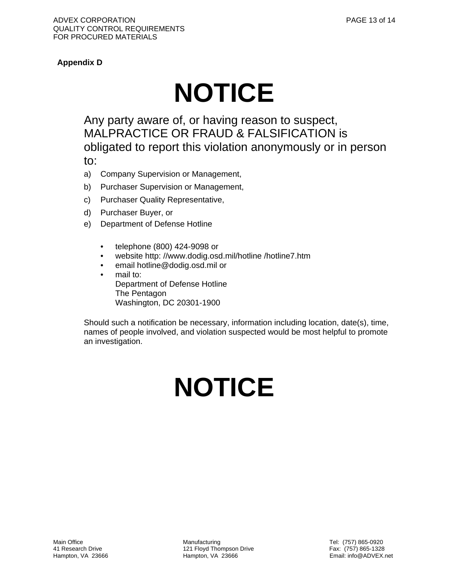# **Appendix D**

# **NOTICE**

Any party aware of, or having reason to suspect, MALPRACTICE OR FRAUD & FALSIFICATION is obligated to report this violation anonymously or in person to:

- a) Company Supervision or Management,
- b) Purchaser Supervision or Management,
- c) Purchaser Quality Representative,
- d) Purchaser Buyer, or
- e) Department of Defense Hotline
	- telephone (800) 424-9098 or
	- website http: //www.dodig.osd.mil/hotline /hotline7.htm
	- email hotline@dodig.osd.mil or
	- mail to: Department of Defense Hotline The Pentagon Washington, DC 20301-1900

Should such a notification be necessary, information including location, date(s), time, names of people involved, and violation suspected would be most helpful to promote an investigation.

# **NOTICE**

Main Office **Manufacturing Manufacturing Manufacturing** Tel: (757) 865-0920 41 Research Drive 121 Floyd Thompson Drive 121 Floyd Thompson Drive 121 Research Drive Fax: (757) 865-1328<br>Hampton, VA 23666 120 Hampton, VA 23666 120 Hampton, VA 23666 120 Hampton, VA 23666 120 Hampton, VA 23666 120